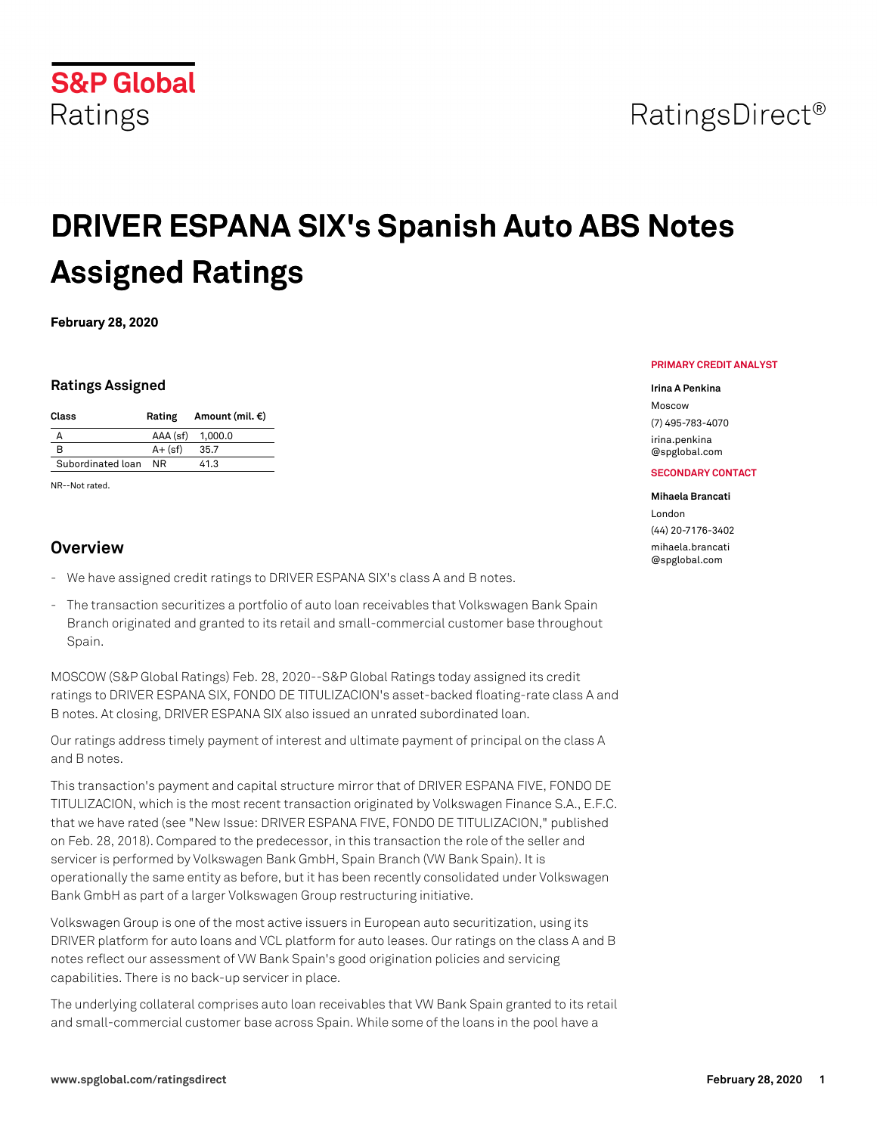

## RatingsDirect<sup>®</sup>

# **DRIVER ESPANA SIX's Spanish Auto ABS Notes Assigned Ratings**

**February 28, 2020**

### **Ratings Assigned**

| Class             | Rating     | Amount (mil. $\epsilon$ ) |
|-------------------|------------|---------------------------|
|                   | AAA (sf)   | 1,000.0                   |
| R                 | $A + (sf)$ | 35.7                      |
| Subordinated loan | NR         | 41.3                      |

NR--Not rated.

## **Overview**

- We have assigned credit ratings to DRIVER ESPANA SIX's class A and B notes.
- The transaction securitizes a portfolio of auto loan receivables that Volkswagen Bank Spain Branch originated and granted to its retail and small-commercial customer base throughout Spain.

MOSCOW (S&P Global Ratings) Feb. 28, 2020--S&P Global Ratings today assigned its credit ratings to DRIVER ESPANA SIX, FONDO DE TITULIZACION's asset-backed floating-rate class A and B notes. At closing, DRIVER ESPANA SIX also issued an unrated subordinated loan.

Our ratings address timely payment of interest and ultimate payment of principal on the class A and B notes.

This transaction's payment and capital structure mirror that of DRIVER ESPANA FIVE, FONDO DE TITULIZACION, which is the most recent transaction originated by Volkswagen Finance S.A., E.F.C. that we have rated (see "New Issue: DRIVER ESPANA FIVE, FONDO DE TITULIZACION," published on Feb. 28, 2018). Compared to the predecessor, in this transaction the role of the seller and servicer is performed by Volkswagen Bank GmbH, Spain Branch (VW Bank Spain). It is operationally the same entity as before, but it has been recently consolidated under Volkswagen Bank GmbH as part of a larger Volkswagen Group restructuring initiative.

Volkswagen Group is one of the most active issuers in European auto securitization, using its DRIVER platform for auto loans and VCL platform for auto leases. Our ratings on the class A and B notes reflect our assessment of VW Bank Spain's good origination policies and servicing capabilities. There is no back-up servicer in place.

The underlying collateral comprises auto loan receivables that VW Bank Spain granted to its retail and small-commercial customer base across Spain. While some of the loans in the pool have a

#### **PRIMARY CREDIT ANALYST**

#### **Irina A Penkina**

Moscow (7) 495-783-4070 [irina.penkina](mailto: irina.penkina@spglobal.com) [@spglobal.com](mailto: irina.penkina@spglobal.com)

#### **SECONDARY CONTACT**

#### **Mihaela Brancati**

London (44) 20-7176-3402 [mihaela.brancati](mailto: mihaela.brancati@spglobal.com) [@spglobal.com](mailto: mihaela.brancati@spglobal.com)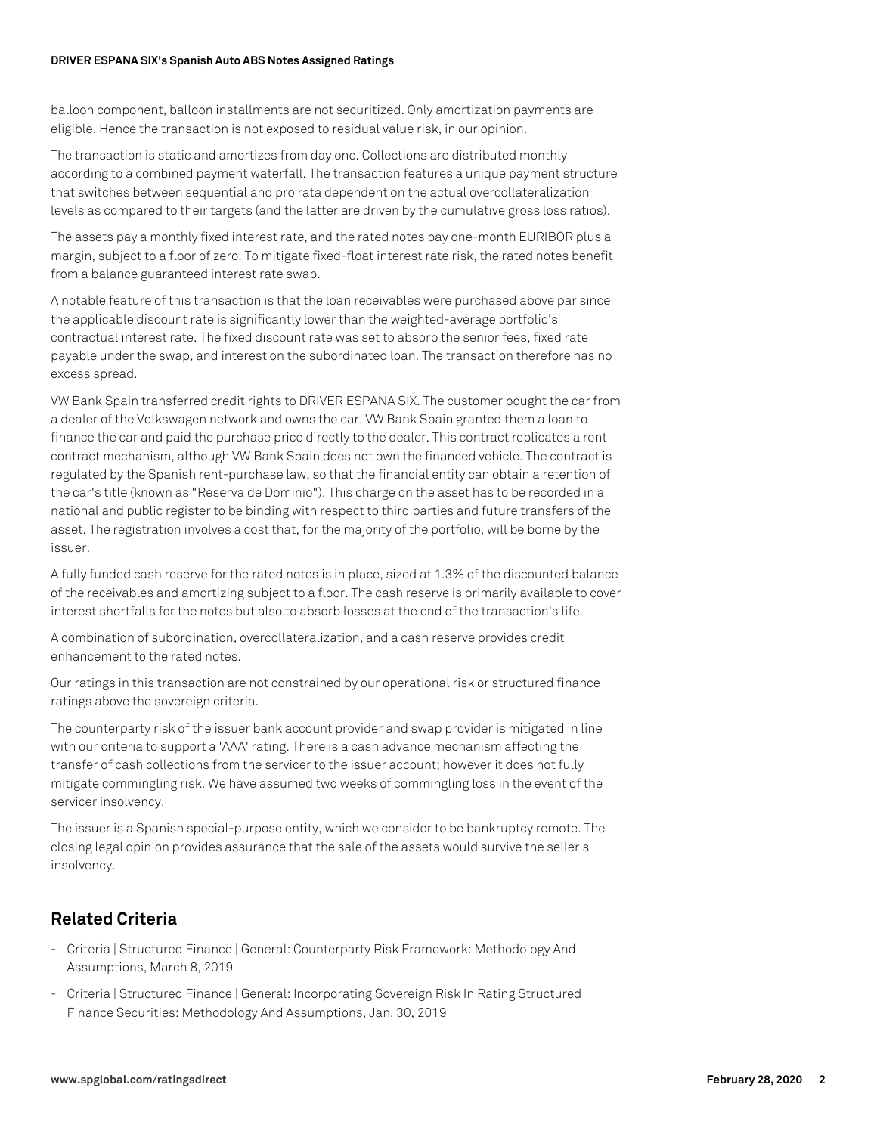#### **DRIVER ESPANA SIX's Spanish Auto ABS Notes Assigned Ratings**

balloon component, balloon installments are not securitized. Only amortization payments are eligible. Hence the transaction is not exposed to residual value risk, in our opinion.

The transaction is static and amortizes from day one. Collections are distributed monthly according to a combined payment waterfall. The transaction features a unique payment structure that switches between sequential and pro rata dependent on the actual overcollateralization levels as compared to their targets (and the latter are driven by the cumulative gross loss ratios).

The assets pay a monthly fixed interest rate, and the rated notes pay one-month EURIBOR plus a margin, subject to a floor of zero. To mitigate fixed-float interest rate risk, the rated notes benefit from a balance guaranteed interest rate swap.

A notable feature of this transaction is that the loan receivables were purchased above par since the applicable discount rate is significantly lower than the weighted-average portfolio's contractual interest rate. The fixed discount rate was set to absorb the senior fees, fixed rate payable under the swap, and interest on the subordinated loan. The transaction therefore has no excess spread.

VW Bank Spain transferred credit rights to DRIVER ESPANA SIX. The customer bought the car from a dealer of the Volkswagen network and owns the car. VW Bank Spain granted them a loan to finance the car and paid the purchase price directly to the dealer. This contract replicates a rent contract mechanism, although VW Bank Spain does not own the financed vehicle. The contract is regulated by the Spanish rent-purchase law, so that the financial entity can obtain a retention of the car's title (known as "Reserva de Dominio"). This charge on the asset has to be recorded in a national and public register to be binding with respect to third parties and future transfers of the asset. The registration involves a cost that, for the majority of the portfolio, will be borne by the issuer.

A fully funded cash reserve for the rated notes is in place, sized at 1.3% of the discounted balance of the receivables and amortizing subject to a floor. The cash reserve is primarily available to cover interest shortfalls for the notes but also to absorb losses at the end of the transaction's life.

A combination of subordination, overcollateralization, and a cash reserve provides credit enhancement to the rated notes.

Our ratings in this transaction are not constrained by our operational risk or structured finance ratings above the sovereign criteria.

The counterparty risk of the issuer bank account provider and swap provider is mitigated in line with our criteria to support a 'AAA' rating. There is a cash advance mechanism affecting the transfer of cash collections from the servicer to the issuer account; however it does not fully mitigate commingling risk. We have assumed two weeks of commingling loss in the event of the servicer insolvency.

The issuer is a Spanish special-purpose entity, which we consider to be bankruptcy remote. The closing legal opinion provides assurance that the sale of the assets would survive the seller's insolvency.

## **Related Criteria**

- Criteria | Structured Finance | General: Counterparty Risk Framework: Methodology And Assumptions, March 8, 2019
- Criteria | Structured Finance | General: Incorporating Sovereign Risk In Rating Structured Finance Securities: Methodology And Assumptions, Jan. 30, 2019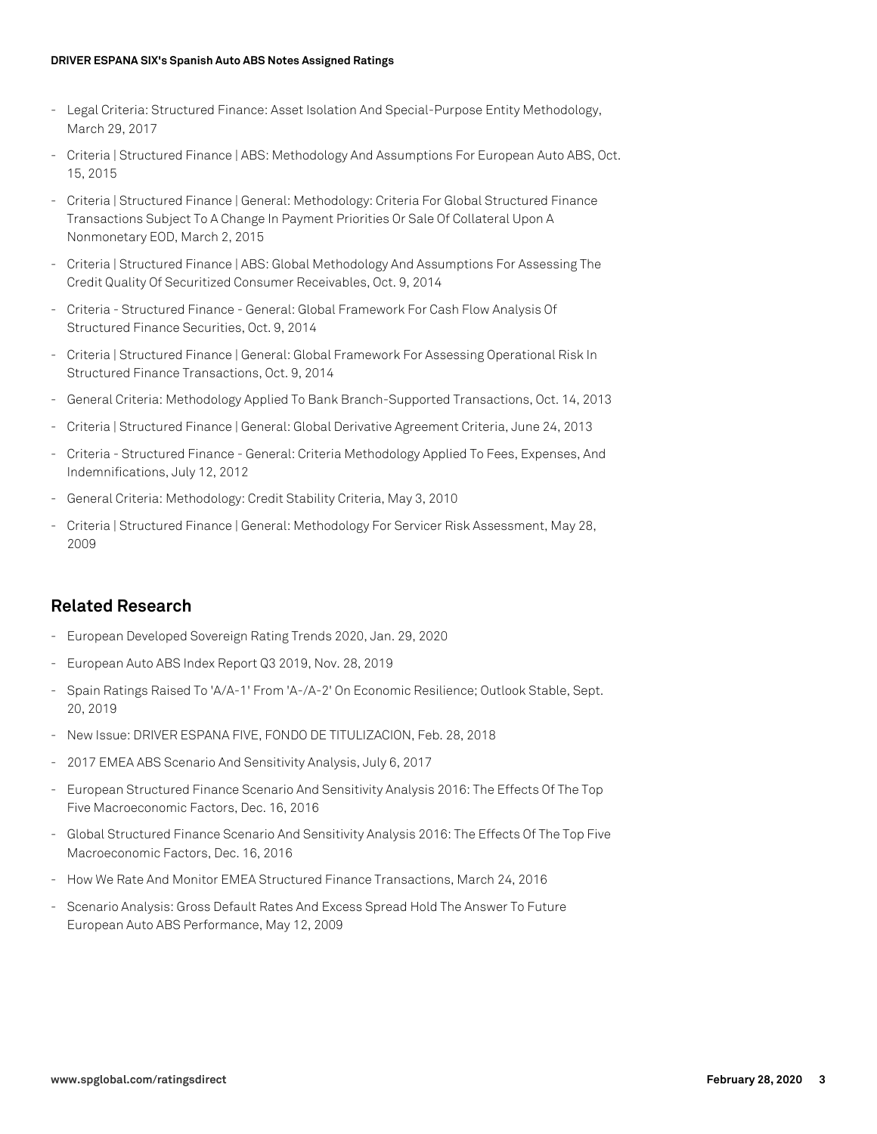#### **DRIVER ESPANA SIX's Spanish Auto ABS Notes Assigned Ratings**

- Legal Criteria: Structured Finance: Asset Isolation And Special-Purpose Entity Methodology, March 29, 2017
- Criteria | Structured Finance | ABS: Methodology And Assumptions For European Auto ABS, Oct. 15, 2015
- Criteria | Structured Finance | General: Methodology: Criteria For Global Structured Finance Transactions Subject To A Change In Payment Priorities Or Sale Of Collateral Upon A Nonmonetary EOD, March 2, 2015
- Criteria | Structured Finance | ABS: Global Methodology And Assumptions For Assessing The Credit Quality Of Securitized Consumer Receivables, Oct. 9, 2014
- Criteria Structured Finance General: Global Framework For Cash Flow Analysis Of Structured Finance Securities, Oct. 9, 2014
- Criteria | Structured Finance | General: Global Framework For Assessing Operational Risk In Structured Finance Transactions, Oct. 9, 2014
- General Criteria: Methodology Applied To Bank Branch-Supported Transactions, Oct. 14, 2013
- Criteria | Structured Finance | General: Global Derivative Agreement Criteria, June 24, 2013
- Criteria Structured Finance General: Criteria Methodology Applied To Fees, Expenses, And Indemnifications, July 12, 2012
- General Criteria: Methodology: Credit Stability Criteria, May 3, 2010
- Criteria | Structured Finance | General: Methodology For Servicer Risk Assessment, May 28, 2009

## **Related Research**

- European Developed Sovereign Rating Trends 2020, Jan. 29, 2020
- European Auto ABS Index Report Q3 2019, Nov. 28, 2019
- Spain Ratings Raised To 'A/A-1' From 'A-/A-2' On Economic Resilience; Outlook Stable, Sept. 20, 2019
- New Issue: DRIVER ESPANA FIVE, FONDO DE TITULIZACION, Feb. 28, 2018
- 2017 EMEA ABS Scenario And Sensitivity Analysis, July 6, 2017
- European Structured Finance Scenario And Sensitivity Analysis 2016: The Effects Of The Top Five Macroeconomic Factors, Dec. 16, 2016
- Global Structured Finance Scenario And Sensitivity Analysis 2016: The Effects Of The Top Five Macroeconomic Factors, Dec. 16, 2016
- How We Rate And Monitor EMEA Structured Finance Transactions, March 24, 2016
- Scenario Analysis: Gross Default Rates And Excess Spread Hold The Answer To Future European Auto ABS Performance, May 12, 2009